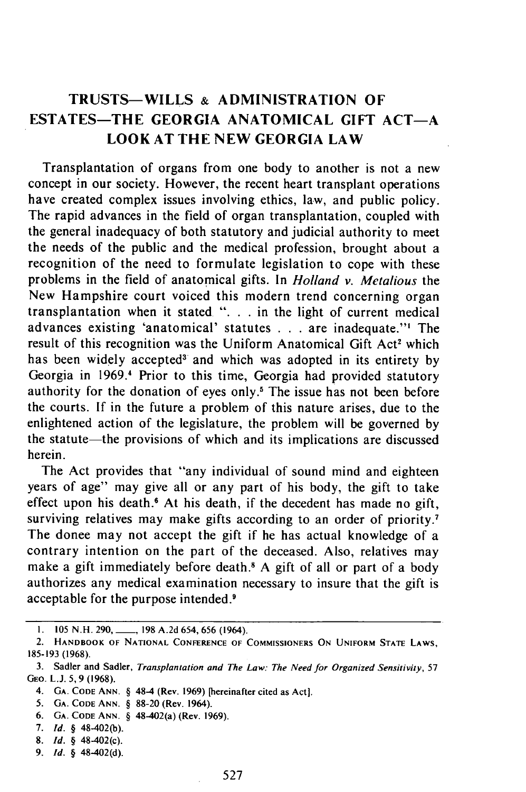## TRUSTS-WILLS & ADMINISTRATION **OF ESTATES-THE GEORGIA ANATOMICAL GIFT ACT-A LOOK AT THE NEW GEORGIA LAW**

Transplantation of organs from one body to another is not a new concept in our society. However, the recent heart transplant operations have created complex issues involving ethics, law, and public policy. The rapid advances in the field of organ transplantation, coupled with the general inadequacy of both statutory and judicial authority to meet the needs of the public and the medical profession, brought about a recognition of the need to formulate legislation to cope with these problems in the field of anatomical gifts. In *Holland v. Metalious* the New Hampshire court voiced this modern trend concerning organ transplantation when it stated ". **.** . in the light of current medical advances existing 'anatomical' statutes . . . are inadequate."<sup>1</sup> The result of this recognition was the Uniform Anatomical Gift Act<sup>2</sup> which has been widely accepted<sup>3</sup> and which was adopted in its entirety by Georgia in 1969.<sup>4</sup> Prior to this time, Georgia had provided statutory authority for the donation of eyes only.<sup>5</sup> The issue has not been before the courts. If in the future a problem of this nature arises, due to the enlightened action of the legislature, the problem will be governed by the statute-the provisions of which and its implications are discussed herein.

The Act provides that "any individual of sound mind and eighteen years of age" may give all or any part of his body, the gift to take effect upon his death.<sup>6</sup> At his death, if the decedent has made no gift, surviving relatives may make gifts according to an order of priority.<sup>7</sup> The donee may not accept the gift if he has actual knowledge of a contrary intention on the part of the deceased. Also, relatives may make a gift immediately before death.<sup>8</sup> A gift of all or part of a body authorizes any medical examination necessary to insure that the gift is acceptable for the purpose intended.9

- 4. **GA. CODE ANN.** § 48-4 (Rev. 1969) [hereinafter cited as Act].
- 5. **GA. CODE ANN.** § 88-20 (Rev. 1964).
- 6. **GA. CODE ANN.** § 48-402(a) (Rev. 1969).
- 7. *Id.* § 48-402(b).
- 8. *Id.* § 48-402(c).
- 9. *Id.* § 48-402(d).

**<sup>1. 105</sup>** N.H. 290,\_, **198** A.2d 654, 656 (1964).

<sup>2.</sup> HANDBOOK OF **NATIONAL CONFERENCE** OF COMMISSIONERS **ON UNIFORM STATE** LAWS, 185-193 (1968).

<sup>3.</sup> Sadler and Sadler, *Transplantation and The Law: The Need for Organized Sensitivity,* 57 GEo. L.J. 5, 9 (1968).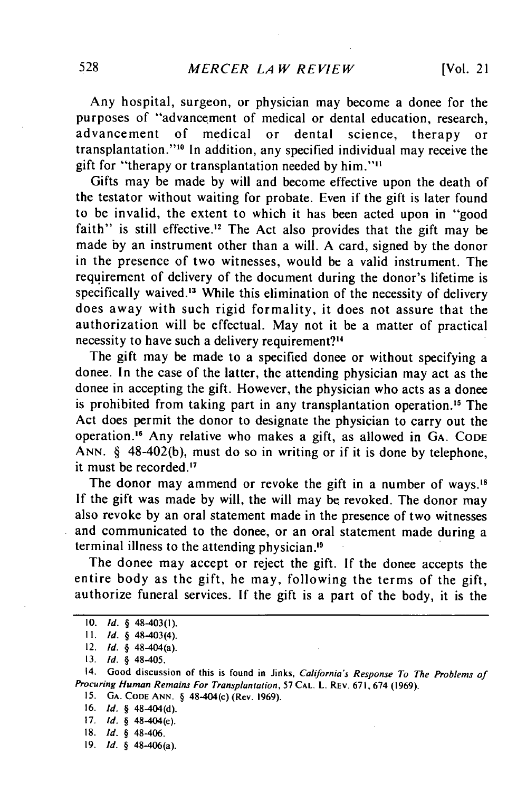Any hospital, surgeon, or physician may become a donee for the purposes of "advancement of medical or dental education, research, advancement of medical or dental science, therapy or transplantation."<sup>10</sup> In addition, any specified individual may receive the gift for "therapy or transplantation needed by him.""

Gifts may be made by will and become effective upon the death of the testator without waiting for probate. Even if the gift is later found to be invalid, the extent to which it has been acted upon in "good faith" is still effective.<sup>12</sup> The Act also provides that the gift may be made by an instrument other than a will. A card, signed by the donor in the presence of two witnesses, would be a valid instrument. The requirement of delivery of the document during the donor's lifetime is specifically waived.<sup>13</sup> While this elimination of the necessity of delivery does away with such rigid formality, it does not assure that the authorization will be effectual. May not it be a matter of practical necessity to have such a delivery requirement?"

The gift may be made to a specified donee or without specifying a donee. In the case of the latter, the attending physician may act as the donee in accepting the gift. However, the physician who acts as a donee is prohibited from taking part in any transplantation operation.<sup>15</sup> The Act does permit the donor to designate the physician to carry out the operation.<sup>16</sup> Any relative who makes a gift, as allowed in GA. CODE ANN. § 48-402(b), must do so in writing or if it is done by telephone, it must be recorded. $17$ 

The donor may ammend or revoke the gift in a number of ways.<sup>18</sup> If the gift was made by will, the will may be revoked. The donor may also revoke by an oral statement made in the presence of two witnesses and communicated to the donee, or an oral statement made during a terminal illness to the attending physician.

The donee may accept or reject the gift. If the donee accepts the entire body as the gift, he may, following the terms of the gift, authorize funeral services. If the gift is a part of the body, it is the

14. Good discussion of this is found in Jinks, *California's Response To The Problems* of *Procuring Human Remains For Transplantation,* **57 CAL.** L. REv. **671,** 674 **(1969).**

**15. GA. CODE ANN.** § 48-404(c) (Rev. **1969).**

- **16.** *Id.* § 48-404(d).
- **17. Id.** § 48-404(e).
- **18. Id.** § 48-406.
- **19.** *Id.* § 48-406(a).

**<sup>10.</sup>** *Id.* § 48-403(1).

**<sup>11.</sup>** *Id. §* 48-403(4).

<sup>12.</sup> *Id. §* 48-404(a).

<sup>13.</sup> *Id. §* 48-405.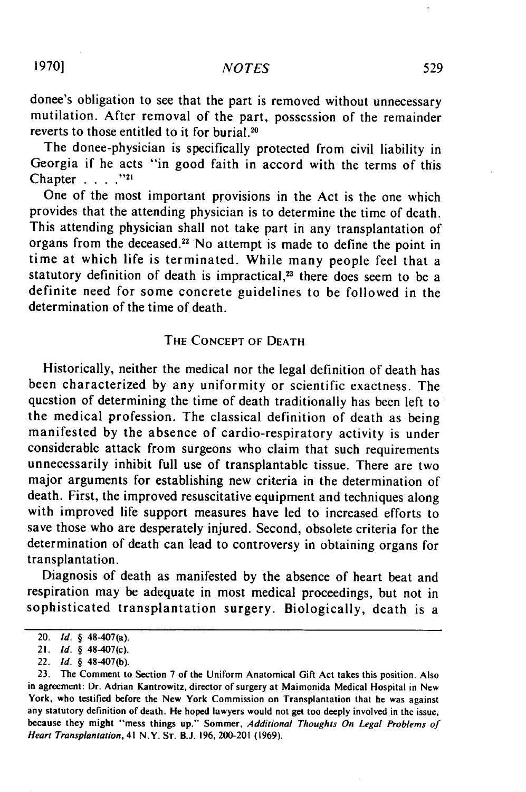donee's obligation to see that the part is removed without unnecessary mutilation. After removal of the part, possession of the remainder reverts to those entitled to it for burial.<sup>20</sup>

The donee-physician is specifically protected from civil liability in Georgia if he acts "in good faith in accord with the terms of this Chapter **. "... 21**

One of the most important provisions in the Act is the one which provides that the attending physician is to determine the time of death. This attending physician shall not take part in any transplantation of organs from the deceased.<sup>22</sup> No attempt is made to define the point in time at which life is terminated. While many people feel that a statutory definition of death is impractical, $23$  there does seem to be a definite need for some concrete guidelines to be followed in the determination of the time of death.

## THE **CONCEPT** OF **DEATH**

Historically, neither the medical nor the legal definition of death has been characterized by any uniformity or scientific exactness. The question of determining the time of death traditionally has been left to the medical profession. The classical definition of death as being manifested by the absence of cardio-respiratory activity is under considerable attack from surgeons who claim that such requirements unnecessarily inhibit full use of transplantable tissue. There are two major arguments for establishing new criteria in the determination of death. First, the improved resuscitative equipment and techniques along with improved life support measures have led to increased efforts to save those who are desperately injured. Second, obsolete criteria for the determination of death can lead to controversy in obtaining organs for transplantation.

Diagnosis of death as manifested by the absence of heart beat and respiration may be adequate in most medical proceedings, but not in sophisticated transplantation surgery. Biologically, death is a

<sup>20.</sup> *Id.* § 48-407(a).

<sup>21.</sup> *Id.* § 48-407(c).

<sup>22.</sup> *Id.* § 48-407(b).

**<sup>23.</sup>** The Comment to Section **7** of the Uniform Anatomical Gift Act takes this position. Also in agreement: Dr. Adrian Kantrowitz, director of surgery at Maimonida Medical Hospital in New York, who testified before the New York Commission on Transplantation that he was against any statutory definition of death. He hoped lawyers would not get too deeply involved in the issue, because they might "mess things up." Sommer, Additional Thoughts On Legal Problems of *Heart Transplantation,* 41 N.Y. **ST.** B.J. **196,** 200-201 **(1969).**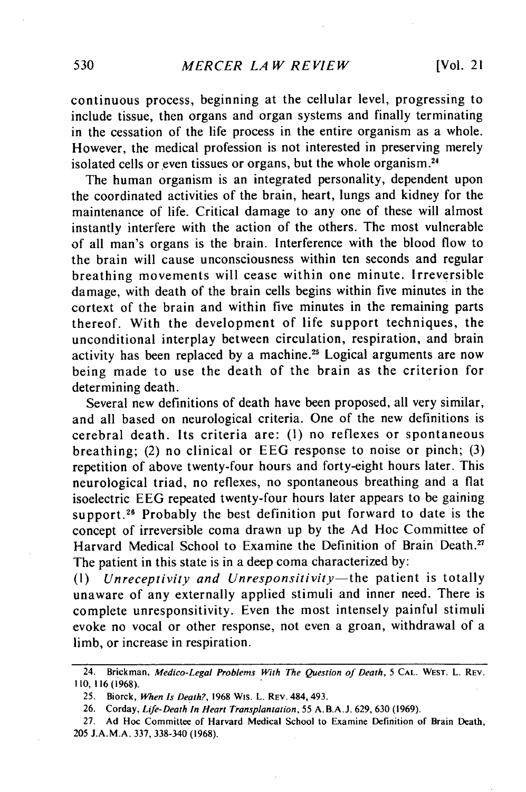continuous process, beginning at the cellular level, progressing to include tissue, then organs and organ systems and finally terminating in the cessation of the life process in the entire organism as a whole. However, the medical profession is not interested in preserving merely isolated cells or even tissues or organs, but the whole organism.<sup>24</sup>

The human organism is an integrated personality, dependent upon the coordinated activities of the brain, heart, lungs and kidney for the maintenance of life. Critical damage to any one of these will almost instantly interfere with the action of the others. The most vulnerable of all man's organs is the brain. Interference with the blood flow to the brain will cause unconsciousness within ten seconds and regular breathing movements will cease within one minute. Irreversible damage, with death of the brain cells begins within five minutes in the cortext of the brain and within five minutes in the remaining parts thereof. With the development of life support techniques, the unconditional interplay between circulation, respiration, and brain activity has been replaced by a machine.<sup>25</sup> Logical arguments are now being made to use the death of the brain as the criterion for determining death.

Several new definitions of death have been proposed, all very similar, and all based on neurological criteria. One of the new definitions is cerebral death. Its criteria are: **(1)** no reflexes or spontaneous breathing; (2) no clinical or EEG response to noise or pinch; (3) repetition of above twenty-four hours and forty-eight hours later. This neurological triad, no reflexes, no spontaneous breathing and a flat isoelectric EEG repeated twenty-four hours later appears to be gaining support.<sup>26</sup> Probably the best definition put forward to date is the concept of irreversible coma drawn up by the Ad Hoc Committee of Harvard Medical School to Examine the Definition of Brain Death.<sup>27</sup> The patient in this state is in a deep coma characterized by:

**(1)** *Unreceptivity and Unresponsitivity-the* patient is totally unaware of any externally applied stimuli and inner need. There is complete unresponsitivity. Even the most intensely painful stimuli evoke no vocal or other response, not even a groan, withdrawal of a limb, or increase in respiration.

<sup>24.</sup> **Brickman,** Medico-Legal Problems *With The* Question of Death, 5 **CAL.** WEST. L. REV. 110,116 (1968).

**<sup>25.</sup>** Biorck, When Is Death?, **1968** Wis. L. REv. 484, 493.

**<sup>26.</sup>** Corday, Life-Death In Heart Transplantation, 55 **A.B.A.J. 629, 630 (1969).**

<sup>27.</sup> **Ad Hoc** Committee of Harvard Medical School to Examine Definition of Brain Death, **205 J.A.M.A. 337, 338-340 (1968).**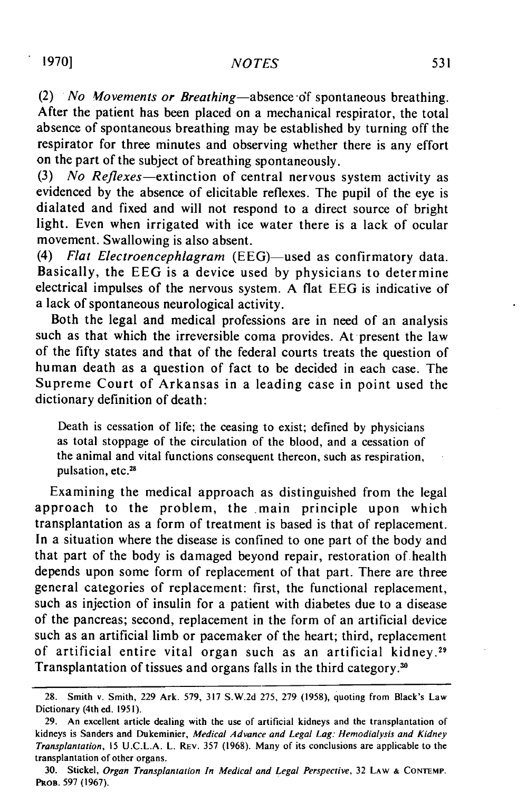(2) *No Wovements or Breathing-absence* 6f spontaneous breathing. After the patient has been placed on a mechanical respirator, the total absence of spontaneous breathing may be established by turning off the respirator for three minutes and observing whether there is any effort on the part of the subject of breathing spontaneously.

(3) *No* Reflexes-extinction of central nervous system activity as evidenced by the absence of elicitable reflexes. The pupil of the eye is dialated and fixed and will not respond to a direct source of bright light. Even when irrigated with ice water there is a lack of ocular movement. Swallowing is also absent.

(4) *Flat Electroencephlagram* (EEG)-used as confirmatory data. Basically, the EEG is a device used by physicians to determine electrical impulses of the nervous system. A flat EEG is indicative of a lack of spontaneous neurological activity.

Both the legal and medical professions are in need of an analysis such as that which the irreversible coma provides. At present the law of the fifty states and that of the federal courts treats the question of human death as a question of fact to be decided in each case. The Supreme Court of Arkansas in a leading case in point used the dictionary definition of death:

Death is cessation of life; the ceasing to exist; defined by physicians as total stoppage of the circulation of the blood, and a cessation of the animal and vital functions consequent thereon, such as respiration, pulsation, etc.<sup>28</sup>

Examining the medical approach as distinguished from the legal approach to the problem, the main principle upon which transplantation as a form of treatment is based is that of replacement. In a situation where the disease is confined to one part of the body and that part of the body is damaged beyond repair, restoration of-health depends upon some form of replacement of that part. There are three general categories of replacement: first, the functional replacement, such as injection of insulin for a patient with diabetes due to a disease of the pancreas; second, replacement in the form of an artificial device such as an artificial limb or pacemaker of the heart; third, replacement of artificial entire vital organ such as an artificial kidney. <sup>29</sup> Transplantation of tissues and organs falls in the third category.<sup>30</sup>

<sup>28.</sup> Smith v. Smith, 229 Ark. 579, 317 S.W.2d 275, 279 (1958), quoting from Black's Law Dictionary (4th ed. 1951).

<sup>29.</sup> An excellent article dealing with the use of artificial kidneys and the transplantation of kidneys is Sanders and Dukeminier, Medical *Advance and Legal Lag: Hemodialysis and Kidney Transplantation,* 15 U.C.L.A. L. REV. 357 (1968). Many of its conclusions are applicable to the transplantation of other organs.

<sup>30.</sup> Stickel, Organ Transplantation In Medical and Legal Perspective, 32 **LAW & CONTEMP. PROB.** 597 (1967).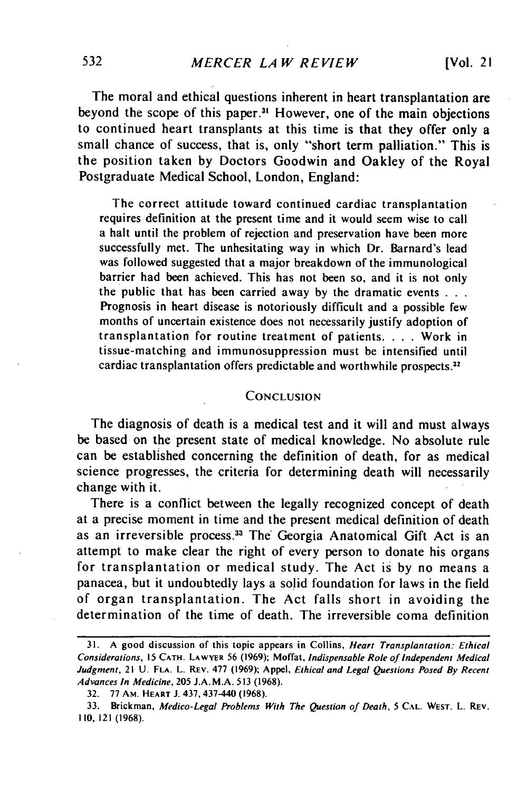The moral and ethical questions inherent in heart transplantation are beyond the scope of this paper.<sup>31</sup> However, one of the main objections to continued heart transplants at this time is that they offer only a small chance of success, that is, only "short term palliation." This is the position taken by Doctors Goodwin and Oakley of the Royal Postgraduate Medical School, London, England:

The correct attitude toward continued cardiac transplantation requires definition at the present time and it would seem wise to call a halt until the problem of rejection and preservation have been more successfully met. The unhesitating way in which Dr. Barnard's lead was followed suggested that a major breakdown of the immunological barrier had been achieved. This has not been so, and it is not only the public that has been carried away by the dramatic events **...** Prognosis in heart disease is notoriously difficult and a possible few months of uncertain existence does not necessarily justify adoption of transplantation for routine treatment of patients. . **.** . Work in tissue-matching and immunosuppression must be intensified until cardiac transplantation offers predictable and worthwhile prospects."

## **CONCLUSION**

The diagnosis of death is a medical test and it will and must always be based on the present state of medical knowledge. No absolute rule can be established concerning the definition of death, for as medical science progresses, the criteria for determining death will necessarily change with it.

There is a conflict between the legally recognized concept of death at a precise moment in time and the present medical definition of death as an irreversible process.<sup>33</sup> The Georgia Anatomical Gift Act is an attempt to make clear the right of every person to donate his organs for transplantation or medical study. The Act is by no means a panacea, but it undoubtedly lays a solid foundation for laws in the field of organ transplantation. The Act falls short in avoiding the determination of the time of death. The irreversible coma definition

**<sup>31.</sup>** A good discussion of this topic appears in Collins, *Heart Transplantation: Ethical* Considerations, 15 CATH. LAWYER 56 (1969); Moffat, Indispensable Role of Independent Medical Judgment, 21 U. **FLA.** L. REV. 477 (1969); Appel, Ethical and Legal Questions Posed By Recent Advances In Medicine, 205 J.A.M.A. 513 (1968).

<sup>32. 77</sup> AM. HEART J. 437,437-440 (1968).

<sup>33.</sup> Brickman, Medico-Legal Problems With The Question of Death, 5 **CAL.** WEST. L. REV. 110,121 (1968).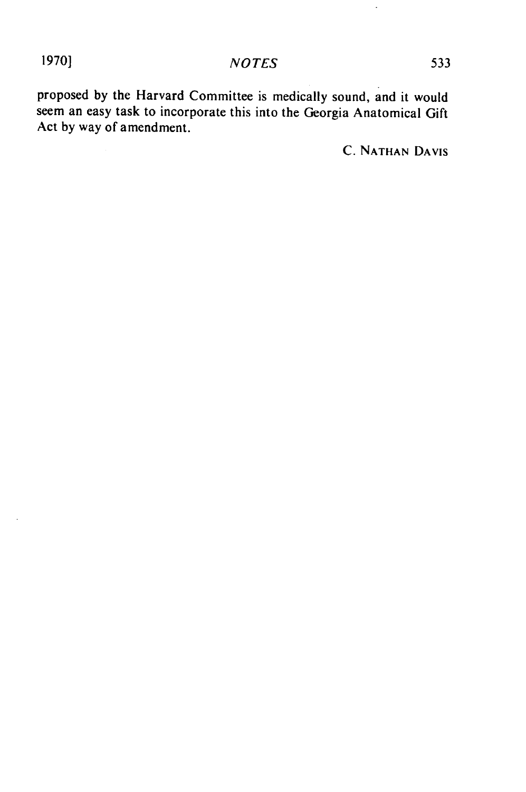proposed by the Harvard Committee is medically sound, and it would seem an easy task to incorporate this into the Georgia Anatomical Gift Act by way of amendment.

C. NATHAN DAVIS

 $\ddot{\phantom{0}}$